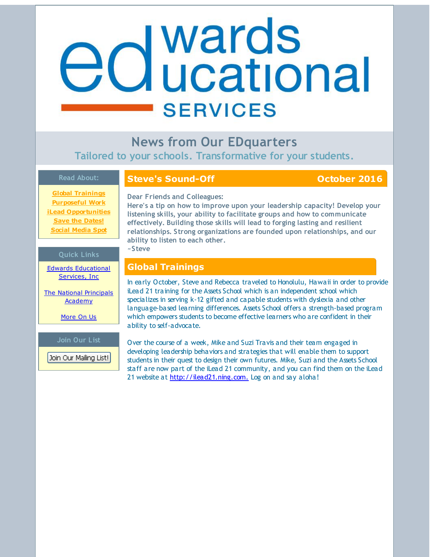# <span id="page-0-0"></span>edwards **SERVICES**

**News from Our EDquarters Tailored to your schools. Transformative for your students.**

### **Read About:**

# **Steve's Sound-Off COLOREY <b>COLOREY 1016**

**Global [Trainings](#page-0-0) [Purposeful](#page-0-0) Work iLead [Opportunities](#page-0-0) Save the [Dates!](#page-0-0) Social [Media](#page-0-0) Spot**

# **Dear Friends and Colleagues:**

**Here's a tip on how to improve upon your leadership capacity! Develop your listening skills, your ability to facilitate groups and how to communicate effectively. Building those skills will lead to forging lasting and resilient relationships. Strong organizations are founded upon relationships, and our ability to listen to each other. ~Steve**

## **Quick Links**

Edwards [Educational](http://r20.rs6.net/tn.jsp?f=001t-epvcUbl-ZUB4XJY2ueGRDz4P15DLR4RlzIzpmWxs3p8WtrvSGJ_l5Me4NT15KqykXAUU7pxPV6CVr_eeHhl1Q_Taeh92EX0CzxsPdZwobcKD_L6ovplyhbcDexFtt1xdMD3-cjpTSDE_kicX8nfpirXZ6vw9_ivVv-k5oszIGxdzhLuD0Cag==&c=&ch=) Services, Inc

The National Principals [Academy](http://r20.rs6.net/tn.jsp?f=001t-epvcUbl-ZUB4XJY2ueGRDz4P15DLR4RlzIzpmWxs3p8WtrvSGJ_nAWUAepUl876xRwtft4pR-0W3sfOap4BUhtdpHQU27Bg1dZibqYrg8juW8hmCxKUNkb9x77U8PmrayHtvaF0fw6DsqIWrYZkjPPR0c4JdS89R0kXWG519mTHyY2spGzjTFWXVs662Dv&c=&ch=)

[More](http://r20.rs6.net/tn.jsp?f=001t-epvcUbl-ZUB4XJY2ueGRDz4P15DLR4RlzIzpmWxs3p8WtrvSGJ_tvjZCVTG6tIgcIEV9VVVpwKKfL0O4cMC65DvwMQGeIBNA23VlUuw3up4grPer-cAqAhbwyqPtFlp-YJZOyYfmhPVtxdsAmIJS2ABNn0To5Hr5VS17QQtdZTC0oCaVEycp6ZFAqQJpMP&c=&ch=) On Us

**Join Our List** Join Our Mailing List!

# **Global Trainings**

In early October, Steve and Rebecca traveled to Honolulu, Hawaii in order to provide iLead 21 training for the Assets School which is an independent school which specializes in serving k-12 gifted and capable students with dyslexia and other language-based learning differences. Assets School offers a strength-based program which empowers students to become effective learners who are confident in their ability to self-advocate.

Over the course of a week, Mike and Suzi Travis and their team engaged in developing leadership behaviors and strategies that will enable them to support students in their quest to design their own futures. Mike, Suzi and the Assets School staff are now part of the iLead 21 community, and you can find them on the iLead 21 website at [http://ilead21.ning.com.](http://r20.rs6.net/tn.jsp?f=001t-epvcUbl-ZUB4XJY2ueGRDz4P15DLR4RlzIzpmWxs3p8WtrvSGJ_lICmCw09Uu25pQe4Y32RpvbFMYcMEfUnadmTJgnkpea8b3DcndxK7YeHQbbmYc5i-pvxrC3-sFiQKRqg1dvy6X1pO8IyJTxOVaimrZ6QouMBbjJWD1ZUj4=&c=&ch=) Log on and say aloha!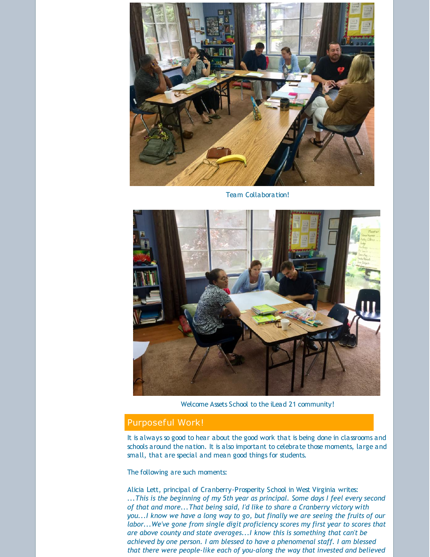

Team Collaboration!



Welcome Assets School to the iLead 21 community!

# Purposeful Work!

It is always so good to hear about the good work that is being done in classrooms and schools around the nation. It is also important to celebrate those moments, large and small, that are special and mean good things for students.

The following are such moments:

Alicia Lett, principal of Cranberry-Prosperity School in West Virginia writes: *...This is the beginning of my 5th year as principal. Some days I feel every second of that and more...That being said, I'd like to share a Cranberry victory with you...I know we have a long way to go, but finally we are seeing the fruits of our labor...We've gone from single digit proficiency scores my first year to scores that are above county and state averages...I know this is something that can't be achieved by one person. I am blessed to have a phenomenal staff. I am blessed that there were people-like each of you-along the way that invested and believed*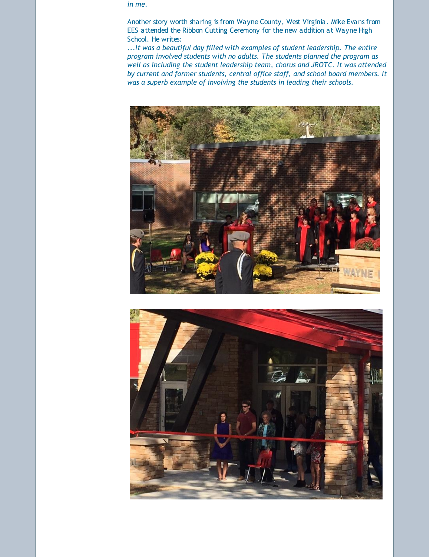*in me.*

Another story worth sharing is from Wayne County, West Virginia. Mike Evans from EES attended the Ribbon Cutting Ceremony for the new addition at Wayne High School. He writes:

...*It was a beautiful day filled with examples of student leadership. The entire program involved students with no adults. The students planned the program as well as including the student leadership team, chorus and JROTC. It was attended by current and former students, central office staff, and school board members. It was a superb example of involving the students in leading their schools.*



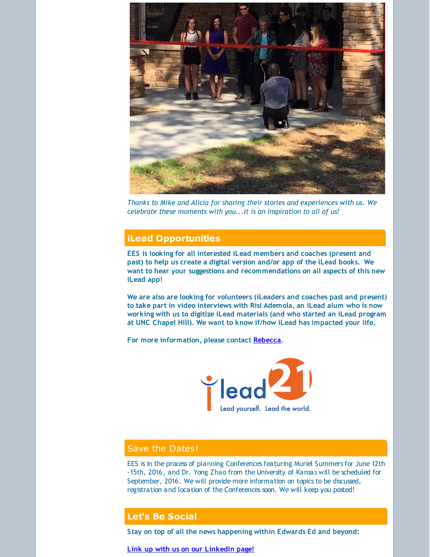

*Thanks to Mike and Alicia for sharing their stories and experiences with us. We celebrate these moments with you...it is an inspiration to all of us!*

# **iLead Opportunities**

**EES is looking for all interested iLead members and coaches (present and past) to help us create a digital version and/or app of the iLead books. We want to hear your suggestions and recommendations on all aspects of this new iLead app!**

**We are also are looking for volunteers (iLeaders and coaches past and present) to take part in video interviews with Risi Ademola, an iLead alum who is now working with us to digitize iLead materials (and who started an iLead program at UNC Chapel Hill). We want to know if/how iLead has impacted your life.**

**For more information, please contact [Rebecca](mailto:rebecca@edwardsedservices.com).**



# Save the Dates!

EES is in the process of planning Conferences featuring Muriel Summers for June 12th -15th, 2016, and Dr. Yong Zhao from the University of Kansas will be scheduled for September, 2016. We will provide more information on topics to be discussed, registration and location of the Conferences soon. We will keep you posted!

#### **Let's Be Social**

**Stay on top of all the news happening within Edwards Ed and beyond:**

**Link up with us on our [LinkedIn](http://r20.rs6.net/tn.jsp?f=001t-epvcUbl-ZUB4XJY2ueGRDz4P15DLR4RlzIzpmWxs3p8WtrvSGJ_gPt_FjjrbndxIhPqwOBXyP1j5EAXG-Mn_gqpx22vY4XFfekZNcxJMUIN1fG9gpUDozr6iANeJeNDj-QNY3v6924Keausr_wxzXtcDVxLOf5_qoc8_ap_zNMnXXcdXYESaWK5ZbfXuEw-CkcMAH7wZjs2z6sD8Eop3VcVhHUcmwtw4EeKPhQeXQ=&c=&ch=) page!**